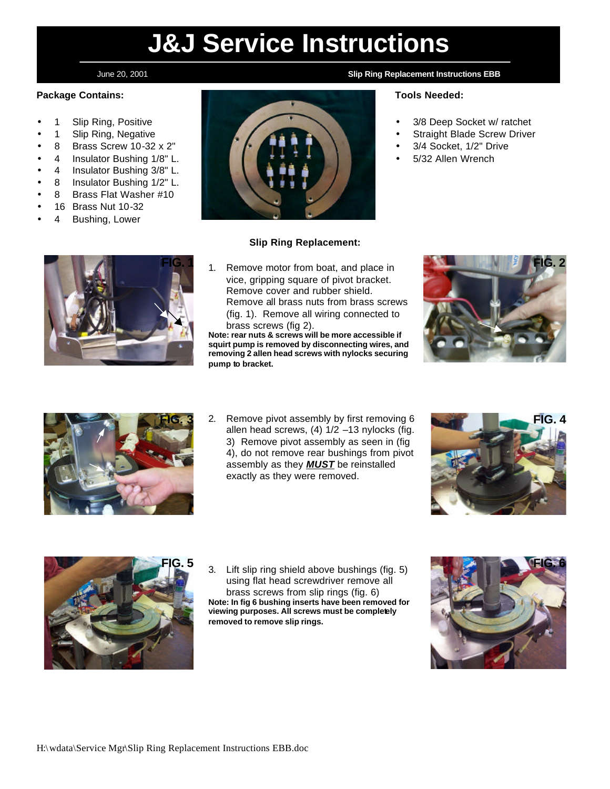# **J&J Service Instructions**

### **Package Contains:**

- 1 Slip Ring, Positive
- 1 Slip Ring, Negative
- 8 Brass Screw 10-32 x 2"
- 4 Insulator Bushing 1/8" L.
- 4 Insulator Bushing 3/8" L.
- 8 Insulator Bushing 1/2" L.
- 8 Brass Flat Washer #10
- 16 Brass Nut 10-32
- 4 Bushing, Lower



#### **Slip Ring Replacement:**

1. Remove motor from boat, and place in vice, gripping square of pivot bracket. Remove cover and rubber shield. Remove all brass nuts from brass screws (fig. 1). Remove all wiring connected to brass screws (fig 2).

**Note: rear nuts & screws will be more accessible if squirt pump is removed by disconnecting wires, and removing 2 allen head screws with nylocks securing pump to bracket.**





**FIG. 3** 2. Remove pivot assembly by first removing 6 **FIG. 4** allen head screws, (4) 1/2 –13 nylocks (fig. 3) Remove pivot assembly as seen in (fig 4), do not remove rear bushings from pivot assembly as they *MUST* be reinstalled exactly as they were removed.





**FIG. 5 FIG. 6** 3. Lift slip ring shield above bushings (fig. 5) using flat head screwdriver remove all brass screws from slip rings (fig. 6) **Note: In fig 6 bushing inserts have been removed for viewing purposes. All screws must be completely removed to remove slip rings.**



### June 20, 2001 **Slip Ring Replacement Instructions EBB**

#### **Tools Needed:**

- 3/8 Deep Socket w/ ratchet
- Straight Blade Screw Driver
- 3/4 Socket, 1/2" Drive
- 5/32 Allen Wrench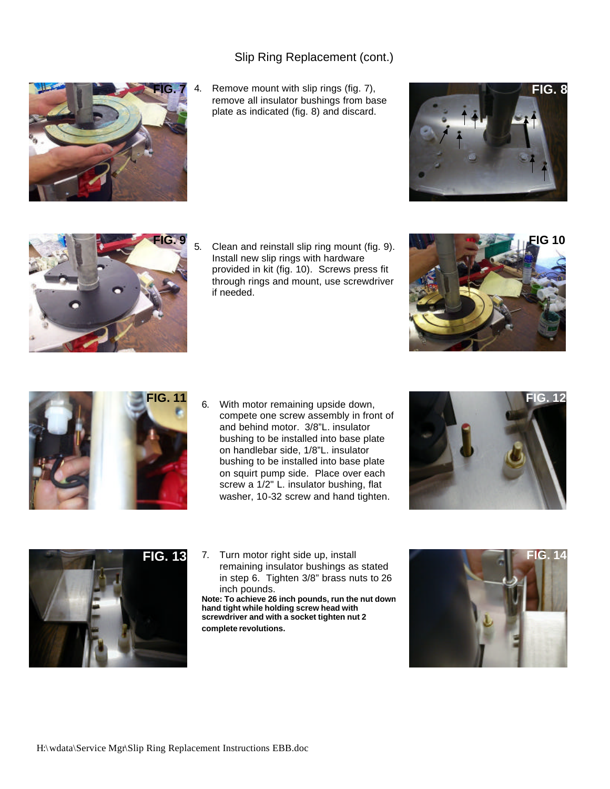## Slip Ring Replacement (cont.)



4. Remove mount with slip rings (fig. 7), **FIG. 8** remove all insulator bushings from base plate as indicated (fig. 8) and discard.





Install new slip rings with hardware provided in kit (fig. 10). Screws press fit through rings and mount, use screwdriver if needed.





compete one screw assembly in front of and behind motor. 3/8"L. insulator bushing to be installed into base plate on handlebar side, 1/8"L. insulator bushing to be installed into base plate on squirt pump side. Place over each screw a 1/2" L. insulator bushing, flat washer, 10-32 screw and hand tighten.





**FIG. 13** 7. Turn motor right side up, install remaining insulator bushings as stated in step 6. Tighten 3/8" brass nuts to 26 inch pounds.

**Note: To achieve 26 inch pounds, run the nut down hand tight while holding screw head with screwdriver and with a socket tighten nut 2 complete revolutions.**

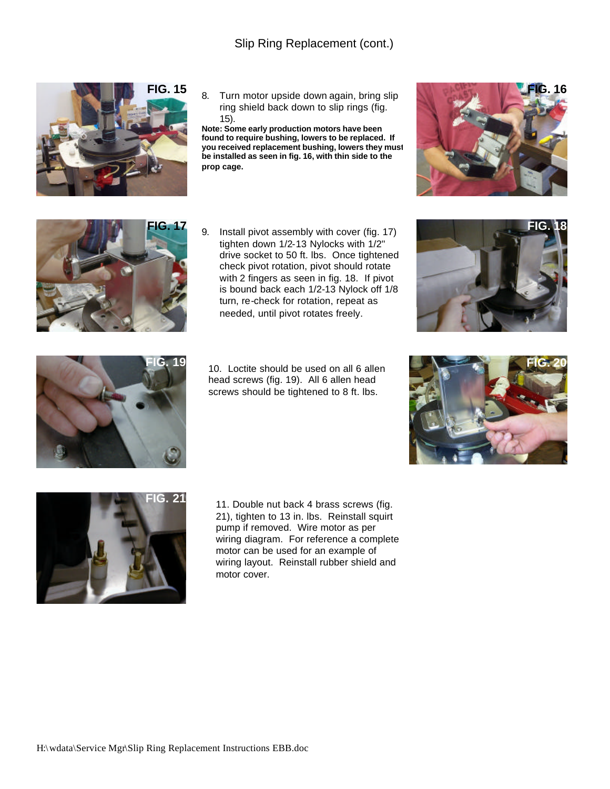

**FIG. 15** 8. Turn motor upside down again, bring slip ring shield back down to slip rings (fig. 15).

**Note: Some early production motors have been found to require bushing, lowers to be replaced. If you received replacement bushing, lowers they must be installed as seen in fig. 16, with thin side to the prop cage.**





**FIG. 17** 9. Install pivot assembly with cover (fig. 17) tighten down 1/2-13 Nylocks with 1/2" drive socket to 50 ft. lbs. Once tightened check pivot rotation, pivot should rotate with 2 fingers as seen in fig. 18. If pivot is bound back each 1/2-13 Nylock off 1/8 turn, re-check for rotation, repeat as needed, until pivot rotates freely.





**FIG. 19 FIG. 20** 10. Loctite should be used on all 6 allen head screws (fig. 19). All 6 allen head screws should be tightened to 8 ft. lbs.





FIG. 21 11. Double nut back 4 brass screws (fig. 21), tighten to 13 in. lbs. Reinstall squirt pump if removed. Wire motor as per wiring diagram. For reference a complete motor can be used for an example of wiring layout. Reinstall rubber shield and motor cover.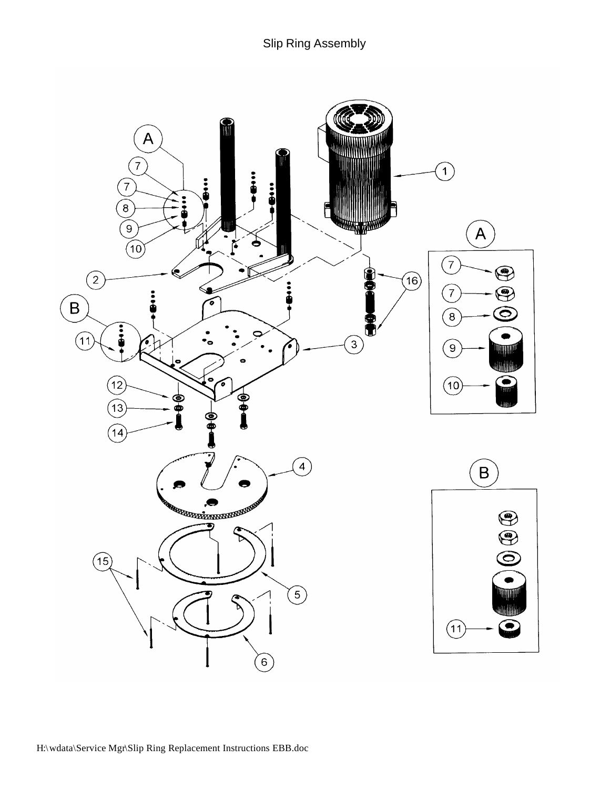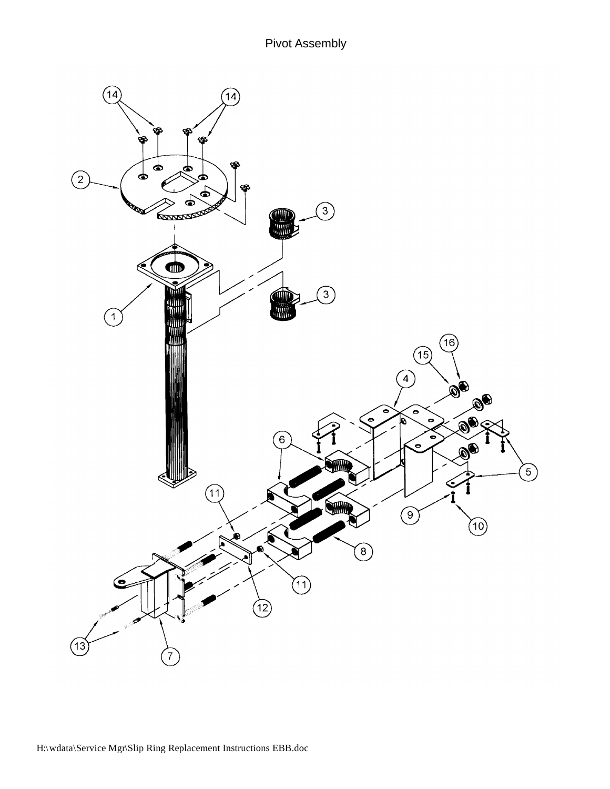